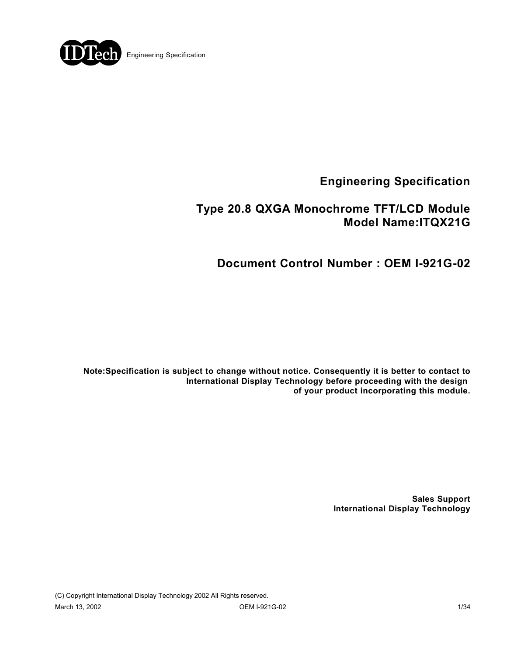

# **Type 20.8 QXGA Monochrome TFT/LCD Module Model Name:ITQX21G**

**Document Control Number : OEM I-921G-02**

**Note:Specification is subject to change without notice. Consequently it is better to contact to International Display Technology before proceeding with the design of your product incorporating this module.**

> **Sales Support International Display Technology**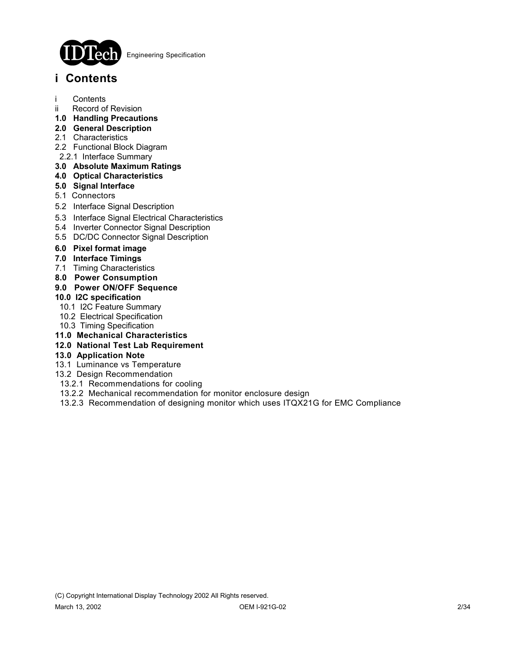

# **i Contents**

- i Contents
- ii Record of Revision
- **1.0 Handling Precautions**
- **2.0 General Description**
- 2.1 Characteristics
- 2.2 Functional Block Diagram
- 2.2.1 Interface Summary

## **3.0 Absolute Maximum Ratings**

- **4.0 Optical Characteristics**
- **5.0 Signal Interface**
- 5.1 Connectors
- 5.2 Interface Signal Description
- 5.3 Interface Signal Electrical Characteristics
- 5.4 Inverter Connector Signal Description
- 5.5 DC/DC Connector Signal Description
- **6.0 Pixel format image**
- **7.0 Interface Timings**
- 7.1 Timing Characteristics
- **8.0 Power Consumption**
- **9.0 Power ON/OFF Sequence**

### **10.0 I2C specification**

- 10.1 I2C Feature Summary
- 10.2 Electrical Specification
- 10.3 Timing Specification
- **11.0 Mechanical Characteristics**
- **12.0 National Test Lab Requirement**

### **13.0 Application Note**

- 13.1 Luminance vs Temperature
- 13.2 Design Recommendation
- 13.2.1 Recommendations for cooling
- 13.2.2 Mechanical recommendation for monitor enclosure design
- 13.2.3 Recommendation of designing monitor which uses ITQX21G for EMC Compliance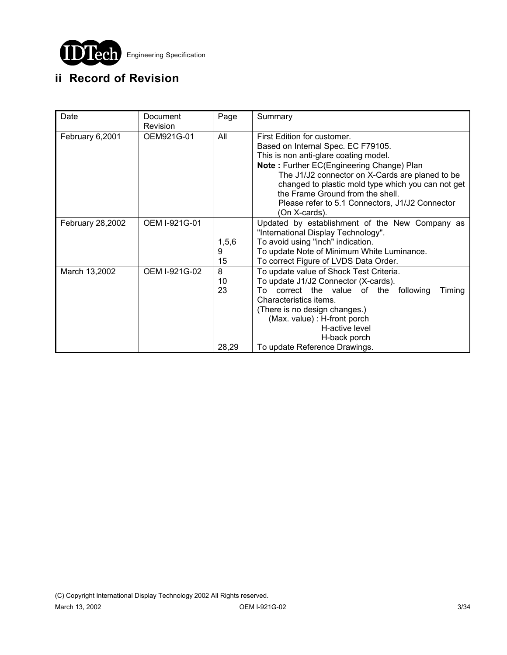

# **ii Record of Revision**

| Date             | Document      | Page    | Summary                                               |
|------------------|---------------|---------|-------------------------------------------------------|
|                  | Revision      |         |                                                       |
| February 6,2001  | OEM921G-01    | All     | First Edition for customer.                           |
|                  |               |         | Based on Internal Spec. EC F79105.                    |
|                  |               |         | This is non anti-glare coating model.                 |
|                  |               |         | Note: Further EC(Engineering Change) Plan             |
|                  |               |         | The J1/J2 connector on X-Cards are planed to be       |
|                  |               |         | changed to plastic mold type which you can not get    |
|                  |               |         | the Frame Ground from the shell.                      |
|                  |               |         | Please refer to 5.1 Connectors, J1/J2 Connector       |
|                  |               |         | (On X-cards).                                         |
| February 28,2002 | OEM I-921G-01 |         | Updated by establishment of the New Company as        |
|                  |               |         | "International Display Technology".                   |
|                  |               | 1, 5, 6 | To avoid using "inch" indication.                     |
|                  |               | 9       | To update Note of Minimum White Luminance.            |
|                  |               | 15      | To correct Figure of LVDS Data Order.                 |
| March 13,2002    | OEM I-921G-02 | 8       | To update value of Shock Test Criteria.               |
|                  |               | 10      | To update J1/J2 Connector (X-cards).                  |
|                  |               | 23      | correct the value of the<br>following<br>Timing<br>To |
|                  |               |         | Characteristics items.                                |
|                  |               |         | (There is no design changes.)                         |
|                  |               |         | (Max. value): H-front porch                           |
|                  |               |         | H-active level                                        |
|                  |               | 28,29   | H-back porch<br>To update Reference Drawings.         |
|                  |               |         |                                                       |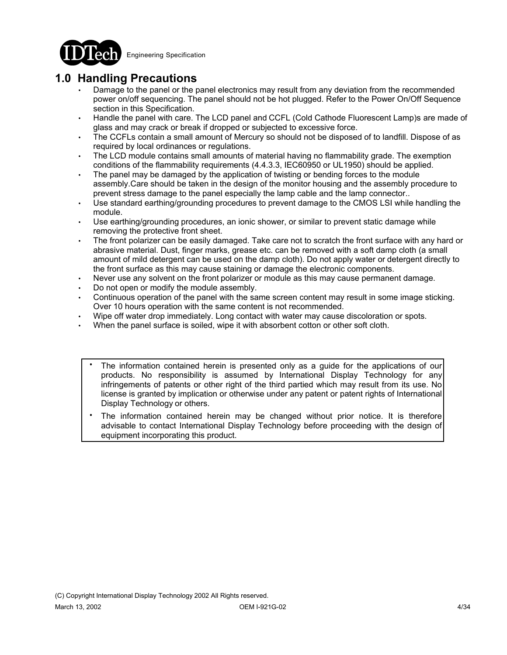

# **1.0 Handling Precautions**

- Damage to the panel or the panel electronics may result from any deviation from the recommended power on/off sequencing. The panel should not be hot plugged. Refer to the Power On/Off Sequence section in this Specification.
- Handle the panel with care. The LCD panel and CCFL (Cold Cathode Fluorescent Lamp)s are made of glass and may crack or break if dropped or subjected to excessive force.
- The CCFLs contain a small amount of Mercury so should not be disposed of to landfill. Dispose of as required by local ordinances or regulations.
- The LCD module contains small amounts of material having no flammability grade. The exemption conditions of the flammability requirements (4.4.3.3, IEC60950 or UL1950) should be applied.
- The panel may be damaged by the application of twisting or bending forces to the module assembly.Care should be taken in the design of the monitor housing and the assembly procedure to prevent stress damage to the panel especially the lamp cable and the lamp connector..
- Use standard earthing/grounding procedures to prevent damage to the CMOS LSI while handling the module.
- Use earthing/grounding procedures, an ionic shower, or similar to prevent static damage while removing the protective front sheet.
- The front polarizer can be easily damaged. Take care not to scratch the front surface with any hard or abrasive material. Dust, finger marks, grease etc. can be removed with a soft damp cloth (a small amount of mild detergent can be used on the damp cloth). Do not apply water or detergent directly to the front surface as this may cause staining or damage the electronic components.
- Never use any solvent on the front polarizer or module as this may cause permanent damage.
- Do not open or modify the module assembly.
- Continuous operation of the panel with the same screen content may result in some image sticking. Over 10 hours operation with the same content is not recommended.
- Wipe off water drop immediately. Long contact with water may cause discoloration or spots.
- When the panel surface is soiled, wipe it with absorbent cotton or other soft cloth.
	- The information contained herein is presented only as a guide for the applications of our products. No responsibility is assumed by International Display Technology for any infringements of patents or other right of the third partied which may result from its use. No license is granted by implication or otherwise under any patent or patent rights of International Display Technology or others. .
	- The information contained herein may be changed without prior notice. It is therefore advisable to contact International Display Technology before proceeding with the design of equipment incorporating this product. .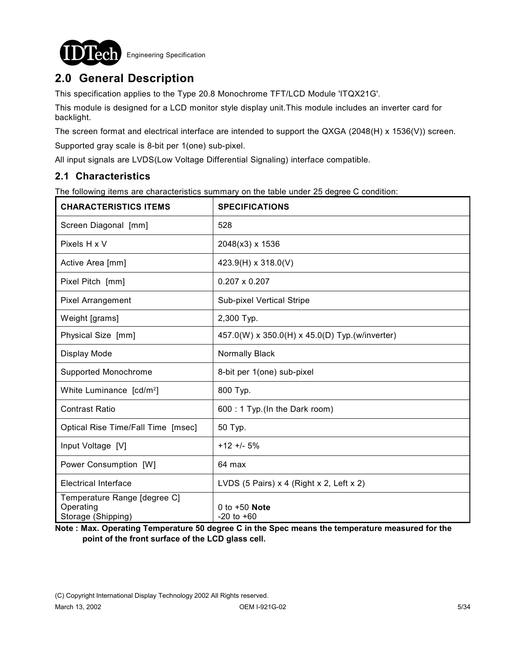

# **2.0 General Description**

This specification applies to the Type 20.8 Monochrome TFT/LCD Module 'ITQX21G'.

This module is designed for a LCD monitor style display unit.This module includes an inverter card for backlight.

The screen format and electrical interface are intended to support the QXGA (2048(H) x 1536(V)) screen.

Supported gray scale is 8-bit per 1(one) sub-pixel.

All input signals are LVDS(Low Voltage Differential Signaling) interface compatible.

## **2.1 Characteristics**

The following items are characteristics summary on the table under 25 degree C condition:

| <b>CHARACTERISTICS ITEMS</b>                                    | <b>SPECIFICATIONS</b>                          |  |
|-----------------------------------------------------------------|------------------------------------------------|--|
| Screen Diagonal [mm]                                            | 528                                            |  |
| Pixels H x V                                                    | 2048(x3) x 1536                                |  |
| Active Area [mm]                                                | 423.9(H) x 318.0(V)                            |  |
| Pixel Pitch [mm]                                                | $0.207 \times 0.207$                           |  |
| Pixel Arrangement                                               | <b>Sub-pixel Vertical Stripe</b>               |  |
| Weight [grams]                                                  | 2,300 Typ.                                     |  |
| Physical Size [mm]                                              | 457.0(W) x 350.0(H) x 45.0(D) Typ.(w/inverter) |  |
| Display Mode                                                    | Normally Black                                 |  |
| Supported Monochrome                                            | 8-bit per 1(one) sub-pixel                     |  |
| White Luminance [cd/m <sup>2</sup> ]                            | 800 Typ.                                       |  |
| <b>Contrast Ratio</b>                                           | 600 : 1 Typ. (In the Dark room)                |  |
| Optical Rise Time/Fall Time [msec]                              | 50 Typ.                                        |  |
| Input Voltage [V]                                               | $+12 + 5%$                                     |  |
| Power Consumption [W]                                           | 64 max                                         |  |
| <b>Electrical Interface</b>                                     | LVDS (5 Pairs) x 4 (Right x 2, Left x 2)       |  |
| Temperature Range [degree C]<br>Operating<br>Storage (Shipping) | 0 to $+50$ Note<br>$-20$ to $+60$              |  |

**Note : Max. Operating Temperature 50 degree C in the Spec means the temperature measured for the point of the front surface of the LCD glass cell.**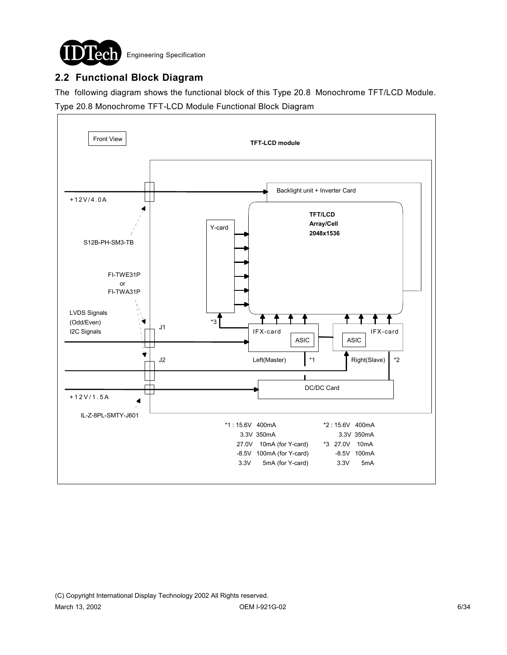

# **2.2 Functional Block Diagram**

The following diagram shows the functional block of this Type 20.8 Monochrome TFT/LCD Module. Type 20.8 Monochrome TFT-LCD Module Functional Block Diagram

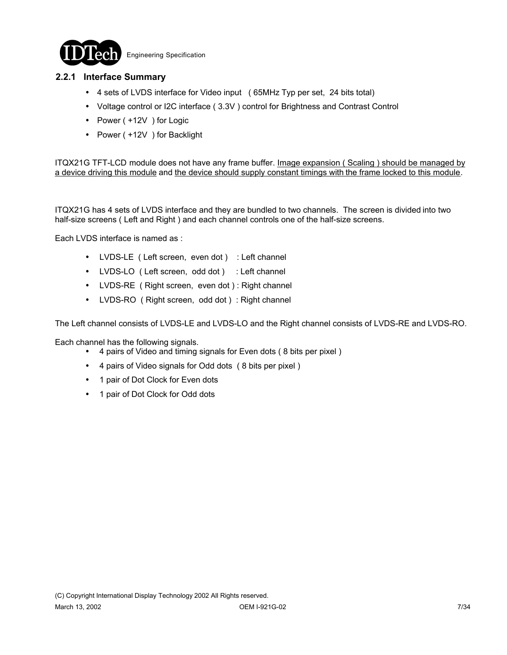

### **2.2.1 Interface Summary**

- ! 4 sets of LVDS interface for Video input ( 65MHz Typ per set, 24 bits total)
- ! Voltage control or I2C interface ( 3.3V ) control for Brightness and Contrast Control
- Power ( +12V ) for Logic
- Power ( +12V ) for Backlight

ITQX21G TFT-LCD module does not have any frame buffer. Image expansion ( Scaling ) should be managed by a device driving this module and the device should supply constant timings with the frame locked to this module.

ITQX21G has 4 sets of LVDS interface and they are bundled to two channels. The screen is divided into two half-size screens ( Left and Right ) and each channel controls one of the half-size screens.

Each LVDS interface is named as :

- LVDS-LE ( Left screen, even dot ) : Left channel
- LVDS-LO ( Left screen, odd dot ) : Left channel
- LVDS-RE ( Right screen, even dot ) : Right channel
- LVDS-RO ( Right screen, odd dot ) : Right channel

The Left channel consists of LVDS-LE and LVDS-LO and the Right channel consists of LVDS-RE and LVDS-RO.

Each channel has the following signals.

- ! 4 pairs of Video and timing signals for Even dots ( 8 bits per pixel )
- ! 4 pairs of Video signals for Odd dots ( 8 bits per pixel )
- 1 pair of Dot Clock for Even dots
- 1 pair of Dot Clock for Odd dots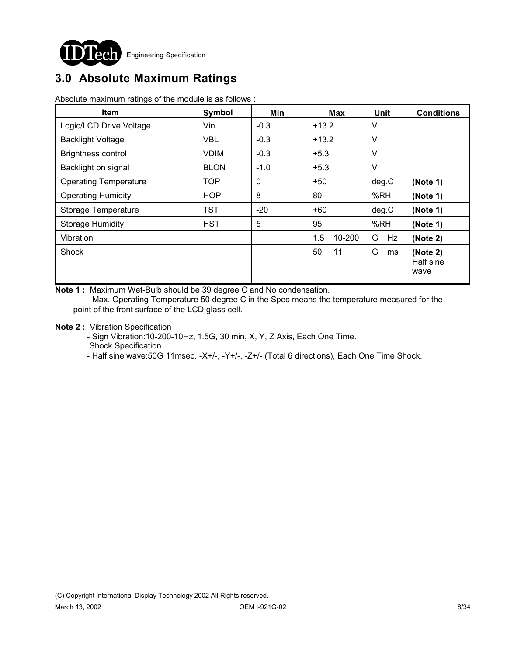

# **3.0 Absolute Maximum Ratings**

Absolute maximum ratings of the module is as follows :

| <b>Item</b>                  | Symbol      | Min         | <b>Max</b>    | Unit    | <b>Conditions</b>             |
|------------------------------|-------------|-------------|---------------|---------|-------------------------------|
| Logic/LCD Drive Voltage      | Vin         | $-0.3$      | $+13.2$       | V       |                               |
| <b>Backlight Voltage</b>     | <b>VBL</b>  | $-0.3$      | $+13.2$       | V       |                               |
| <b>Brightness control</b>    | <b>VDIM</b> | $-0.3$      | $+5.3$        | V       |                               |
| Backlight on signal          | <b>BLON</b> | $-1.0$      | $+5.3$        | V       |                               |
| <b>Operating Temperature</b> | <b>TOP</b>  | $\mathbf 0$ | $+50$         | deg.C   | (Note 1)                      |
| <b>Operating Humidity</b>    | <b>HOP</b>  | 8           | 80            | %RH     | (Note 1)                      |
| Storage Temperature          | <b>TST</b>  | $-20$       | $+60$         | deg.C   | (Note 1)                      |
| <b>Storage Humidity</b>      | <b>HST</b>  | 5           | 95            | %RH     | (Note 1)                      |
| Vibration                    |             |             | 1.5<br>10-200 | G<br>Hz | (Note 2)                      |
| Shock                        |             |             | 50<br>11      | G<br>ms | (Note 2)<br>Half sine<br>wave |

**Note 1 :** Maximum Wet-Bulb should be 39 degree C and No condensation. Max. Operating Temperature 50 degree C in the Spec means the temperature measured for the

point of the front surface of the LCD glass cell.

**Note 2 :** Vibration Specification

 - Sign Vibration:10-200-10Hz, 1.5G, 30 min, X, Y, Z Axis, Each One Time. Shock Specification

- Half sine wave:50G 11msec. -X+/-, -Y+/-, -Z+/- (Total 6 directions), Each One Time Shock.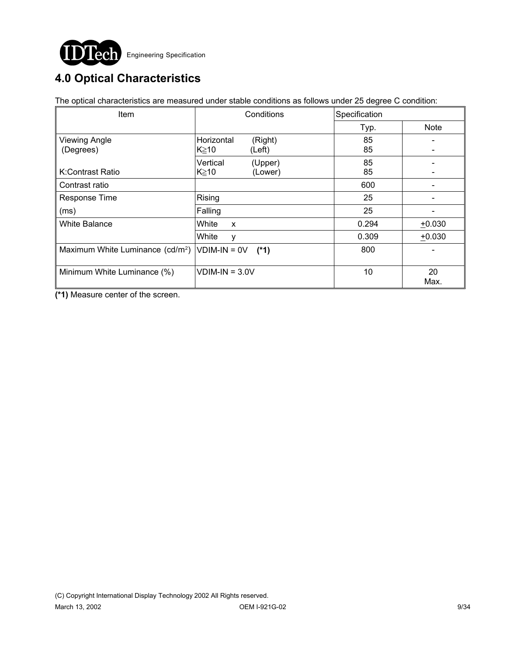

# **4.0 Optical Characteristics**

The optical characteristics are measured under stable conditions as follows under 25 degree C condition:

| Item                                            | Conditions                                    | Specification |             |
|-------------------------------------------------|-----------------------------------------------|---------------|-------------|
|                                                 |                                               | Typ.          | <b>Note</b> |
| <b>Viewing Angle</b><br>(Degrees)               | Horizontal<br>(Right)<br>K≧10<br>(Left)       | 85<br>85      |             |
| K:Contrast Ratio                                | Vertical<br>(Upper)<br>$K \geq 10$<br>(Lower) | 85<br>85      |             |
| Contrast ratio                                  |                                               | 600           |             |
| Response Time                                   | Rising                                        | 25            |             |
| (ms)                                            | Falling                                       | 25            |             |
| White Balance                                   | White<br>$\mathsf{x}$                         | 0.294         | $+0.030$    |
|                                                 | White<br>у                                    | 0.309         | $+0.030$    |
| Maximum White Luminance $(cd/m^2)$ VDIM-IN = 0V | $(*1)$                                        | 800           |             |
| Minimum White Luminance (%)                     | $VDIM-IN = 3.0V$                              | 10            | 20<br>Max.  |

**(\*1)** Measure center of the screen.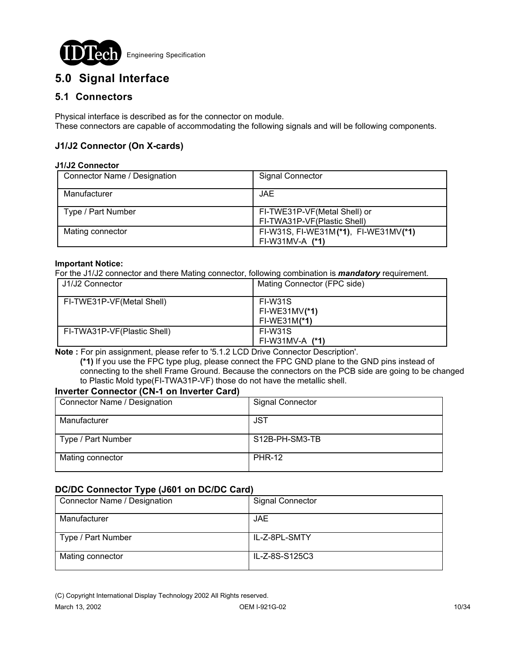

# **5.0 Signal Interface**

## **5.1 Connectors**

Physical interface is described as for the connector on module. These connectors are capable of accommodating the following signals and will be following components.

### **J1/J2 Connector (On X-cards)**

#### **J1/J2 Connector**

| Connector Name / Designation | <b>Signal Connector</b>                                     |
|------------------------------|-------------------------------------------------------------|
| Manufacturer                 | JAE.                                                        |
| Type / Part Number           | FI-TWE31P-VF(Metal Shell) or<br>FI-TWA31P-VF(Plastic Shell) |
| Mating connector             | FI-W31S, FI-WE31M(*1), FI-WE31MV(*1)<br>$FI-W31MV-A (*1)$   |

#### **Important Notice:**

For the J1/J2 connector and there Mating connector, following combination is *mandatory* requirement.

| J1/J2 Connector             | Mating Connector (FPC side)                         |
|-----------------------------|-----------------------------------------------------|
| FI-TWE31P-VF(Metal Shell)   | <b>FI-W31S</b><br>$FI-WE31MV(*1)$<br>$FI-WE31M(*1)$ |
| FI-TWA31P-VF(Plastic Shell) | FI-W31S<br>$FI-W31MV-A (*1)$                        |

**Note :** For pin assignment, please refer to '5.1.2 LCD Drive Connector Description'.

 **(\*1)** If you use the FPC type plug, please connect the FPC GND plane to the GND pins instead of connecting to the shell Frame Ground. Because the connectors on the PCB side are going to be changed to Plastic Mold type(FI-TWA31P-VF) those do not have the metallic shell.

### **Inverter Connector (CN-1 on Inverter Card)**

| Connector Name / Designation | <b>Signal Connector</b> |
|------------------------------|-------------------------|
| Manufacturer                 | <b>JST</b>              |
| Type / Part Number           | S12B-PH-SM3-TB          |
| Mating connector             | <b>PHR-12</b>           |

### **DC/DC Connector Type (J601 on DC/DC Card)**

| Connector Name / Designation | <b>Signal Connector</b> |
|------------------------------|-------------------------|
| Manufacturer                 | JAE.                    |
| Type / Part Number           | IL-Z-8PL-SMTY           |
| Mating connector             | IL-Z-8S-S125C3          |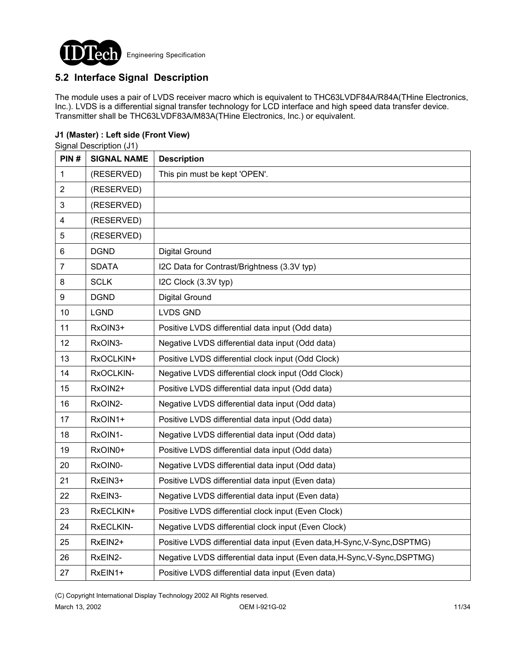

## **5.2 Interface Signal Description**

The module uses a pair of LVDS receiver macro which is equivalent to THC63LVDF84A/R84A(THine Electronics, Inc.). LVDS is a differential signal transfer technology for LCD interface and high speed data transfer device. Transmitter shall be THC63LVDF83A/M83A(THine Electronics, Inc.) or equivalent.

### **J1 (Master) : Left side (Front View)**

Signal Description (J1)

| PIN#                    | <b>SIGNAL NAME</b> | <b>Description</b>                                                        |
|-------------------------|--------------------|---------------------------------------------------------------------------|
| 1                       | (RESERVED)         | This pin must be kept 'OPEN'.                                             |
| $\overline{2}$          | (RESERVED)         |                                                                           |
| 3                       | (RESERVED)         |                                                                           |
| $\overline{\mathbf{4}}$ | (RESERVED)         |                                                                           |
| 5                       | (RESERVED)         |                                                                           |
| 6                       | <b>DGND</b>        | <b>Digital Ground</b>                                                     |
| $\overline{7}$          | <b>SDATA</b>       | I2C Data for Contrast/Brightness (3.3V typ)                               |
| 8                       | <b>SCLK</b>        | I2C Clock (3.3V typ)                                                      |
| 9                       | <b>DGND</b>        | <b>Digital Ground</b>                                                     |
| 10                      | <b>LGND</b>        | <b>LVDS GND</b>                                                           |
| 11                      | RxOIN3+            | Positive LVDS differential data input (Odd data)                          |
| 12                      | RxOIN3-            | Negative LVDS differential data input (Odd data)                          |
| 13                      | RxOCLKIN+          | Positive LVDS differential clock input (Odd Clock)                        |
| 14                      | RxOCLKIN-          | Negative LVDS differential clock input (Odd Clock)                        |
| 15                      | RxOIN2+            | Positive LVDS differential data input (Odd data)                          |
| 16                      | RxOIN2-            | Negative LVDS differential data input (Odd data)                          |
| 17                      | RxOIN1+            | Positive LVDS differential data input (Odd data)                          |
| 18                      | RxOIN1-            | Negative LVDS differential data input (Odd data)                          |
| 19                      | RxOIN0+            | Positive LVDS differential data input (Odd data)                          |
| 20                      | RxOIN0-            | Negative LVDS differential data input (Odd data)                          |
| 21                      | RxEIN3+            | Positive LVDS differential data input (Even data)                         |
| 22                      | RxEIN3-            | Negative LVDS differential data input (Even data)                         |
| 23                      | RxECLKIN+          | Positive LVDS differential clock input (Even Clock)                       |
| 24                      | RxECLKIN-          | Negative LVDS differential clock input (Even Clock)                       |
| 25                      | RxEIN2+            | Positive LVDS differential data input (Even data, H-Sync, V-Sync, DSPTMG) |
| 26                      | RxEIN2-            | Negative LVDS differential data input (Even data, H-Sync, V-Sync, DSPTMG) |
| 27                      | RxEIN1+            | Positive LVDS differential data input (Even data)                         |

(C) Copyright International Display Technology 2002 All Rights reserved.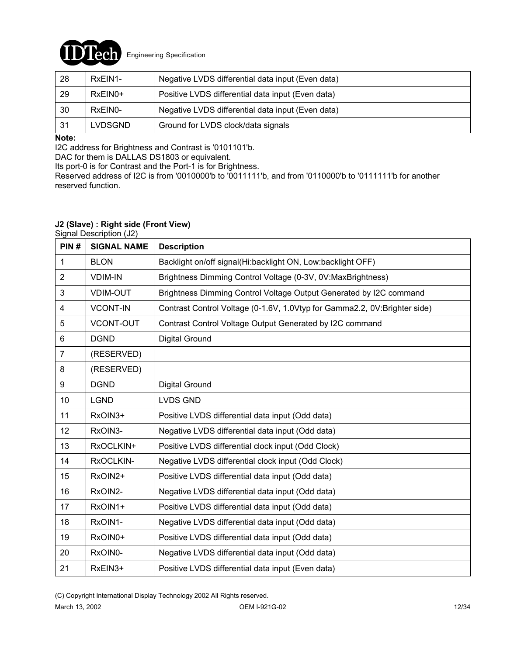

| 28  | RxEIN1-        | Negative LVDS differential data input (Even data) |
|-----|----------------|---------------------------------------------------|
| 29  | $RxEIN0+$      | Positive LVDS differential data input (Even data) |
| 30  | RxEIN0-        | Negative LVDS differential data input (Even data) |
| -31 | <b>LVDSGND</b> | Ground for LVDS clock/data signals                |

### **Note:**

I2C address for Brightness and Contrast is '0101101'b.

DAC for them is DALLAS DS1803 or equivalent.

Its port-0 is for Contrast and the Port-1 is for Brightness.

Reserved address of I2C is from '0010000'b to '0011111'b, and from '0110000'b to '0111111'b for another reserved function.

### **J2 (Slave) : Right side (Front View)**

Signal Description (J2)

| PIN#           | <b>SIGNAL NAME</b> | <b>Description</b>                                                        |
|----------------|--------------------|---------------------------------------------------------------------------|
| 1              | <b>BLON</b>        | Backlight on/off signal(Hi:backlight ON, Low:backlight OFF)               |
| $\overline{2}$ | <b>VDIM-IN</b>     | Brightness Dimming Control Voltage (0-3V, 0V:MaxBrightness)               |
| 3              | <b>VDIM-OUT</b>    | Brightness Dimming Control Voltage Output Generated by I2C command        |
| 4              | <b>VCONT-IN</b>    | Contrast Control Voltage (0-1.6V, 1.0Vtyp for Gamma2.2, 0V:Brighter side) |
| 5              | <b>VCONT-OUT</b>   | Contrast Control Voltage Output Generated by I2C command                  |
| $6\phantom{1}$ | <b>DGND</b>        | Digital Ground                                                            |
| $\overline{7}$ | (RESERVED)         |                                                                           |
| 8              | (RESERVED)         |                                                                           |
| 9              | <b>DGND</b>        | Digital Ground                                                            |
| 10             | <b>LGND</b>        | <b>LVDS GND</b>                                                           |
| 11             | RxOIN3+            | Positive LVDS differential data input (Odd data)                          |
| 12             | RxOIN3-            | Negative LVDS differential data input (Odd data)                          |
| 13             | RxOCLKIN+          | Positive LVDS differential clock input (Odd Clock)                        |
| 14             | RxOCLKIN-          | Negative LVDS differential clock input (Odd Clock)                        |
| 15             | RxOIN2+            | Positive LVDS differential data input (Odd data)                          |
| 16             | RxOIN2-            | Negative LVDS differential data input (Odd data)                          |
| 17             | RxOIN1+            | Positive LVDS differential data input (Odd data)                          |
| 18             | RxOIN1-            | Negative LVDS differential data input (Odd data)                          |
| 19             | RxOIN0+            | Positive LVDS differential data input (Odd data)                          |
| 20             | RxOIN0-            | Negative LVDS differential data input (Odd data)                          |
| 21             | RxEIN3+            | Positive LVDS differential data input (Even data)                         |

(C) Copyright International Display Technology 2002 All Rights reserved.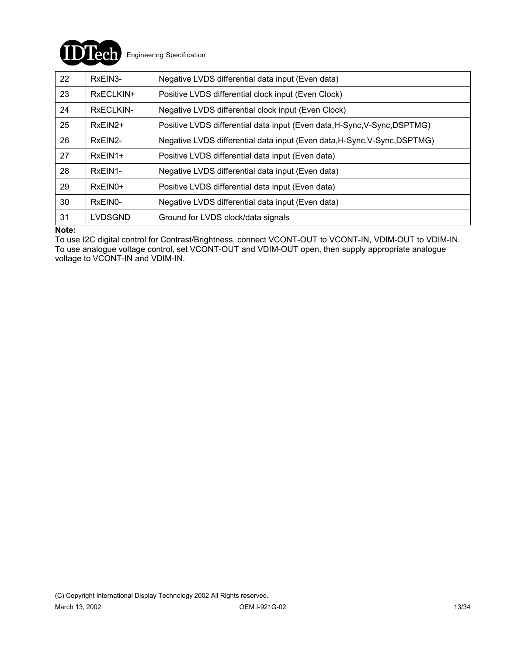

| 22 | RxEIN3-              | Negative LVDS differential data input (Even data)                         |
|----|----------------------|---------------------------------------------------------------------------|
| 23 | RxECLKIN+            | Positive LVDS differential clock input (Even Clock)                       |
| 24 | RxECLKIN-            | Negative LVDS differential clock input (Even Clock)                       |
| 25 | $RxEIN2+$            | Positive LVDS differential data input (Even data, H-Sync, V-Sync, DSPTMG) |
| 26 | RxEIN2-              | Negative LVDS differential data input (Even data, H-Sync, V-Sync, DSPTMG) |
| 27 | RxEIN1+              | Positive LVDS differential data input (Even data)                         |
| 28 | RxEIN1-              | Negative LVDS differential data input (Even data)                         |
| 29 | $RxEIN0+$            | Positive LVDS differential data input (Even data)                         |
| 30 | RxEIN <sub>0</sub> - | Negative LVDS differential data input (Even data)                         |
| 31 | LVDSGND              | Ground for LVDS clock/data signals                                        |

#### **Note:**

To use I2C digital control for Contrast/Brightness, connect VCONT-OUT to VCONT-IN, VDIM-OUT to VDIM-IN. To use analogue voltage control, set VCONT-OUT and VDIM-OUT open, then supply appropriate analogue voltage to VCONT-IN and VDIM-IN.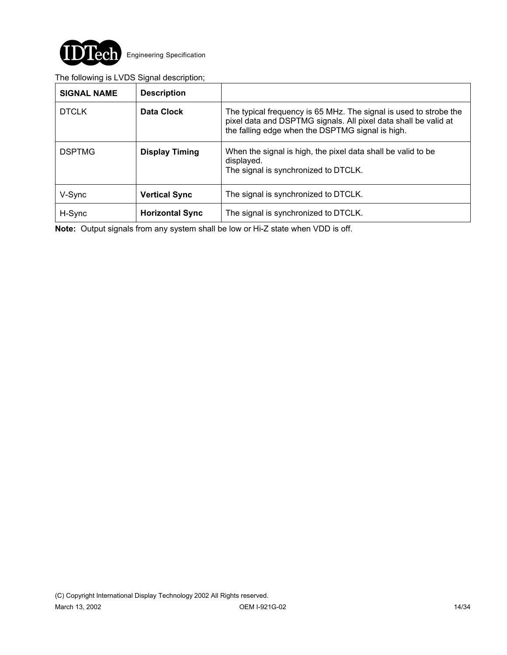

### The following is LVDS Signal description;

| <b>SIGNAL NAME</b> | <b>Description</b>     |                                                                                                                                                                                          |
|--------------------|------------------------|------------------------------------------------------------------------------------------------------------------------------------------------------------------------------------------|
| <b>DTCLK</b>       | Data Clock             | The typical frequency is 65 MHz. The signal is used to strobe the<br>pixel data and DSPTMG signals. All pixel data shall be valid at<br>the falling edge when the DSPTMG signal is high. |
| <b>DSPTMG</b>      | <b>Display Timing</b>  | When the signal is high, the pixel data shall be valid to be<br>displayed.<br>The signal is synchronized to DTCLK.                                                                       |
| V-Sync             | <b>Vertical Sync</b>   | The signal is synchronized to DTCLK.                                                                                                                                                     |
| H-Sync             | <b>Horizontal Sync</b> | The signal is synchronized to DTCLK.                                                                                                                                                     |

**Note:** Output signals from any system shall be low or Hi-Z state when VDD is off.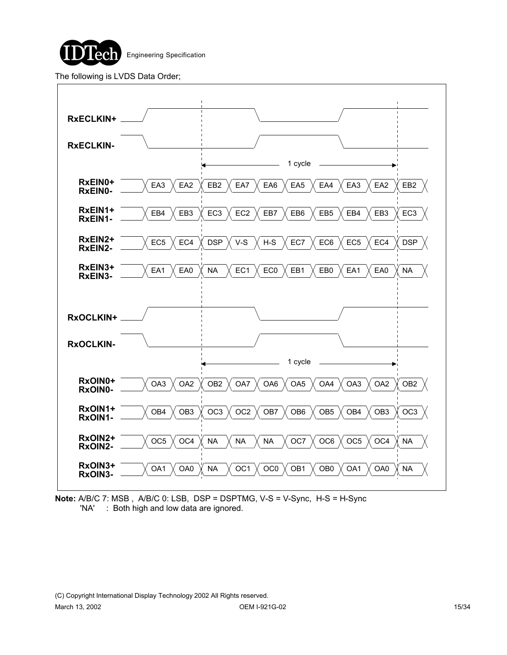

The following is LVDS Data Order;



**Note:** A/B/C 7: MSB , A/B/C 0: LSB, DSP = DSPTMG, V-S = V-Sync, H-S = H-Sync 'NA' : Both high and low data are ignored.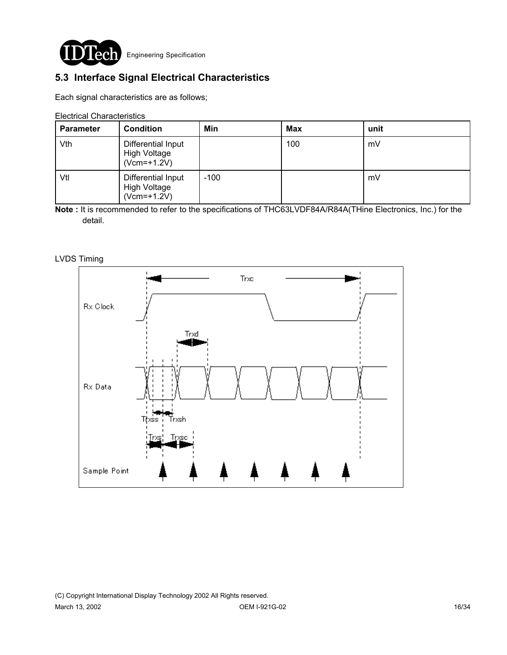

# **5.3 Interface Signal Electrical Characteristics**

Each signal characteristics are as follows;

Electrical Characteristics

| <b>Parameter</b> | <b>Condition</b>                                    | Min    | <b>Max</b> | unit |
|------------------|-----------------------------------------------------|--------|------------|------|
| Vth              | Differential Input<br>High Voltage<br>$(Vcm=+1.2V)$ |        | 100        | mV   |
| Vtl              | Differential Input<br>High Voltage<br>$(Vcm=+1.2V)$ | $-100$ |            | mV   |

**Note :** It is recommended to refer to the specifications of THC63LVDF84A/R84A(THine Electronics, Inc.) for the detail.

LVDS Timing

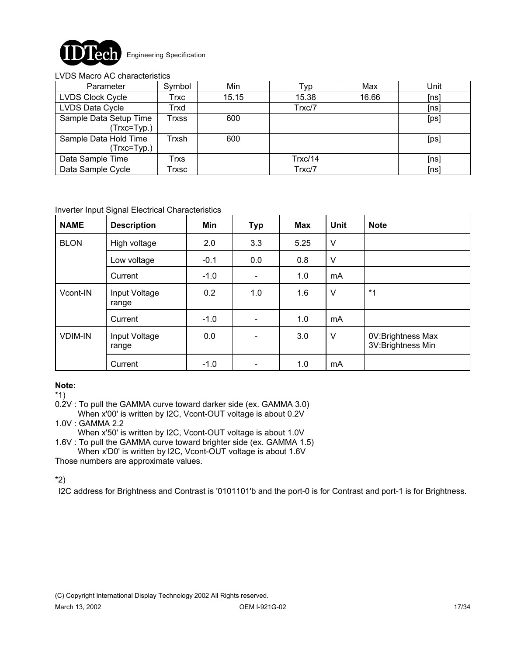

#### LVDS Macro AC characteristics

| Parameter                                | Symbol | Min   | Typ     | Max   | Unit |
|------------------------------------------|--------|-------|---------|-------|------|
| <b>LVDS Clock Cycle</b>                  | Trxc   | 15.15 | 15.38   | 16.66 | [ns] |
| LVDS Data Cycle                          | Trxd   |       | Trxc/7  |       | [ns] |
| Sample Data Setup Time<br>(Trxc=Typ.)    | Trxss  | 600   |         |       | [ps] |
| Sample Data Hold Time<br>$(Trxc = Typ.)$ | Trxsh  | 600   |         |       | [ps] |
| Data Sample Time                         | Trxs   |       | Trxc/14 |       | [ns] |
| Data Sample Cycle                        | Trxsc  |       | Trxc/7  |       | [ns] |

#### Inverter Input Signal Electrical Characteristics

| <b>NAME</b>    | <b>Description</b>     | Min    | <b>Typ</b>               | <b>Max</b> | <b>Unit</b> | <b>Note</b>                            |
|----------------|------------------------|--------|--------------------------|------------|-------------|----------------------------------------|
| <b>BLON</b>    | High voltage           | 2.0    | 3.3                      | 5.25       | V           |                                        |
|                | Low voltage            | $-0.1$ | 0.0                      | 0.8        | V           |                                        |
|                | Current                | $-1.0$ | $\overline{\phantom{a}}$ | 1.0        | mA          |                                        |
| Vcont-IN       | Input Voltage<br>range | 0.2    | 1.0                      | 1.6        | $\vee$      | $*_{1}$                                |
|                | Current                | $-1.0$ | $\overline{\phantom{0}}$ | 1.0        | mA          |                                        |
| <b>VDIM-IN</b> | Input Voltage<br>range | 0.0    |                          | 3.0        | $\vee$      | 0V:Brightness Max<br>3V:Brightness Min |
|                | Current                | $-1.0$ |                          | 1.0        | mA          |                                        |

## **Note:**

\*1)

0.2V : To pull the GAMMA curve toward darker side (ex. GAMMA 3.0)

- When x'00' is written by I2C, Vcont-OUT voltage is about 0.2V 1.0V : GAMMA 2.2
- When x'50' is written by I2C, Vcont-OUT voltage is about 1.0V

1.6V : To pull the GAMMA curve toward brighter side (ex. GAMMA 1.5) When x'D0' is written by I2C, Vcont-OUT voltage is about 1.6V

Those numbers are approximate values.

## \*2)

I2C address for Brightness and Contrast is '0101101'b and the port-0 is for Contrast and port-1 is for Brightness.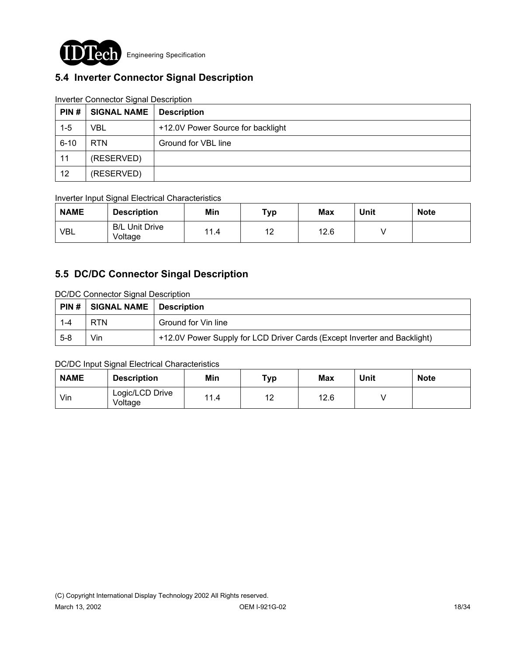

# **5.4 Inverter Connector Signal Description**

| PIN#     | <b>SIGNAL NAME</b> | <b>Description</b>                |
|----------|--------------------|-----------------------------------|
| $1 - 5$  | VBL                | +12.0V Power Source for backlight |
| $6 - 10$ | RTN.               | Ground for VBL line               |
| 11       | (RESERVED)         |                                   |
| 12       | (RESERVED)         |                                   |

### Inverter Connector Signal Description

### Inverter Input Signal Electrical Characteristics

| <b>NAME</b> | <b>Description</b>               | <b>Min</b> | Typ | <b>Max</b> | Unit | <b>Note</b> |
|-------------|----------------------------------|------------|-----|------------|------|-------------|
| <b>VBL</b>  | <b>B/L Unit Drive</b><br>Voltage | 11.4       | 12  | 12.6       |      |             |

## **5.5 DC/DC Connector Singal Description**

DC/DC Connector Signal Description

|         | $\mid$ PIN # $\mid$ SIGNAL NAME | <b>Description</b>                                                       |
|---------|---------------------------------|--------------------------------------------------------------------------|
| $1 - 4$ | <b>RTN</b>                      | Ground for Vin line                                                      |
| $5 - 8$ | Vin                             | +12.0V Power Supply for LCD Driver Cards (Except Inverter and Backlight) |

### DC/DC Input Signal Electrical Characteristics

| <b>NAME</b> | <b>Description</b>         | Min  | Тур        | <b>Max</b> | Unit | <b>Note</b> |
|-------------|----------------------------|------|------------|------------|------|-------------|
| Vin         | Logic/LCD Drive<br>Voltage | 11.4 | $-12$<br>ᅝ | 12.6       |      |             |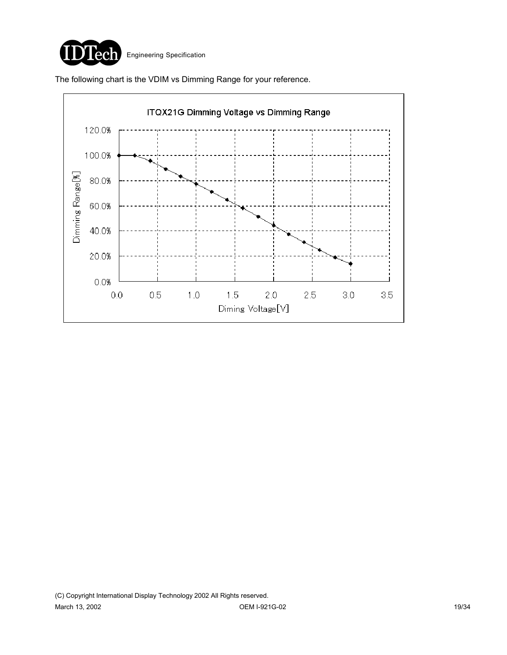

The following chart is the VDIM vs Dimming Range for your reference.

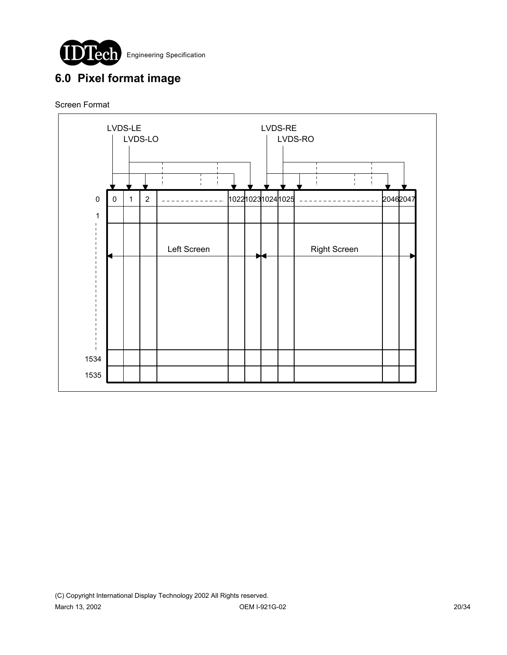

# **6.0 Pixel format image**

### Screen Format

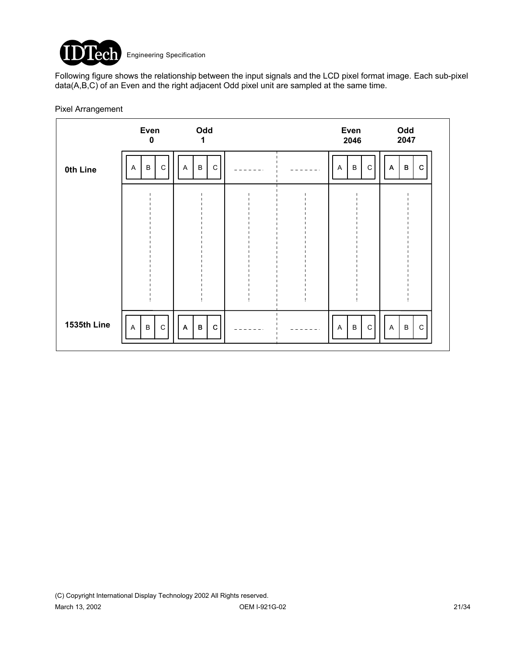

Following figure shows the relationship between the input signals and the LCD pixel format image. Each sub-pixel data(A,B,C) of an Even and the right adjacent Odd pixel unit are sampled at the same time.

### Pixel Arrangement

|             | Even<br>0                                                | Odd<br>1                         |  | Even<br>2046           | Odd<br>2047                      |
|-------------|----------------------------------------------------------|----------------------------------|--|------------------------|----------------------------------|
| 0th Line    | $\mathbf C$<br>B<br>$\mathsf{A}$                         | $\, {\bf B}$<br>$\mathsf C$<br>Α |  | B<br>C<br>A            | $\, {\bf B}$<br>$\mathbf C$<br>A |
|             |                                                          |                                  |  |                        |                                  |
|             |                                                          |                                  |  |                        |                                  |
|             |                                                          |                                  |  |                        |                                  |
|             |                                                          |                                  |  |                        |                                  |
| 1535th Line | $\mathsf C$<br>$\boldsymbol{\mathsf{A}}$<br>$\, {\sf B}$ | B<br>$\mathbf C$<br>Α            |  | $\, {\sf B}$<br>C<br>A | $\mathsf C$<br>$\, {\sf B}$<br>A |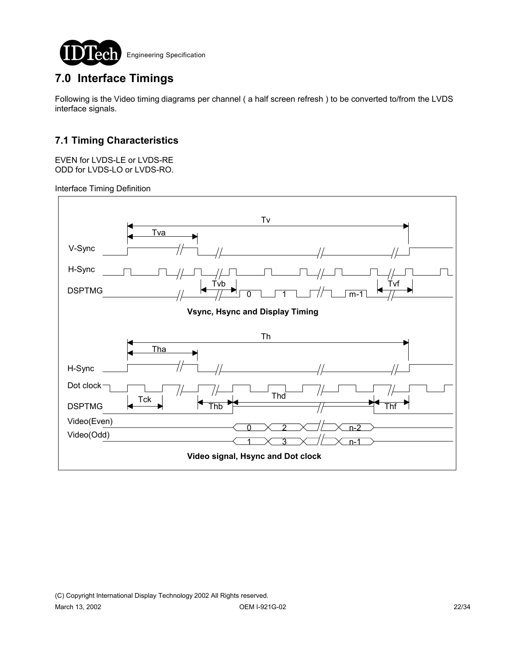

# **7.0 Interface Timings**

Following is the Video timing diagrams per channel ( a half screen refresh ) to be converted to/from the LVDS interface signals.

## **7.1 Timing Characteristics**

EVEN for LVDS-LE or LVDS-RE ODD for LVDS-LO or LVDS-RO.

Interface Timing Definition

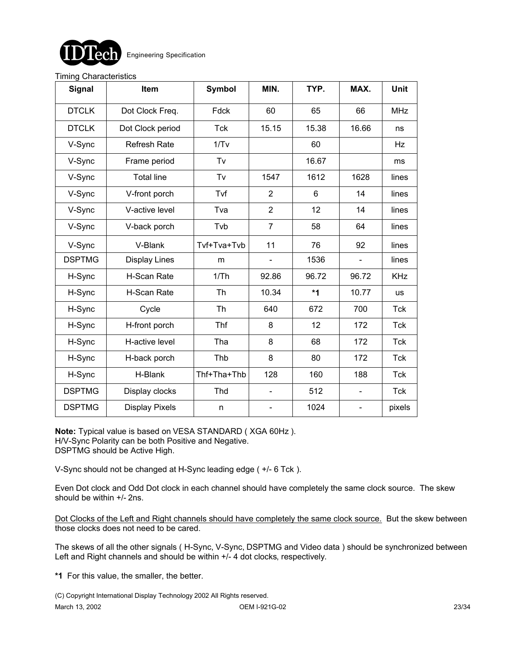

#### Timing Characteristics

| <b>Signal</b> | Item                  | <b>Symbol</b> | MIN.           | TYP.  | MAX.                     | <b>Unit</b> |
|---------------|-----------------------|---------------|----------------|-------|--------------------------|-------------|
| <b>DTCLK</b>  | Dot Clock Freq.       | Fdck          | 60             | 65    | 66                       | <b>MHz</b>  |
| <b>DTCLK</b>  | Dot Clock period      | <b>Tck</b>    | 15.15          | 15.38 | 16.66                    | ns          |
| V-Sync        | <b>Refresh Rate</b>   | 1/Tv          |                | 60    |                          | Hz          |
| V-Sync        | Frame period          | Tv            |                | 16.67 |                          | ms          |
| V-Sync        | <b>Total line</b>     | Tv            | 1547           | 1612  | 1628                     | lines       |
| V-Sync        | V-front porch         | Tvf           | 2              | 6     | 14                       | lines       |
| V-Sync        | V-active level        | Tva           | $\overline{2}$ | 12    | 14                       | lines       |
| V-Sync        | V-back porch          | Tvb           | $\overline{7}$ | 58    | 64                       | lines       |
| V-Sync        | V-Blank               | Tvf+Tva+Tvb   | 11             | 76    | 92                       | lines       |
| <b>DSPTMG</b> | <b>Display Lines</b>  | m             | -              | 1536  | $\blacksquare$           | lines       |
| H-Sync        | H-Scan Rate           | 1/Th          | 92.86          | 96.72 | 96.72                    | <b>KHz</b>  |
| H-Sync        | H-Scan Rate           | <b>Th</b>     | 10.34          | $*1$  | 10.77                    | <b>us</b>   |
| H-Sync        | Cycle                 | <b>Th</b>     | 640            | 672   | 700                      | <b>Tck</b>  |
| H-Sync        | H-front porch         | Thf           | 8              | 12    | 172                      | <b>Tck</b>  |
| H-Sync        | H-active level        | Tha           | 8              | 68    | 172                      | <b>Tck</b>  |
| H-Sync        | H-back porch          | Thb           | 8              | 80    | 172                      | Tck         |
| H-Sync        | H-Blank               | Thf+Tha+Thb   | 128            | 160   | 188                      | <b>Tck</b>  |
| <b>DSPTMG</b> | Display clocks        | Thd           |                | 512   |                          | <b>Tck</b>  |
| <b>DSPTMG</b> | <b>Display Pixels</b> | n             | ÷,             | 1024  | $\overline{\phantom{a}}$ | pixels      |

**Note:** Typical value is based on VESA STANDARD ( XGA 60Hz ). H/V-Sync Polarity can be both Positive and Negative. DSPTMG should be Active High.

V-Sync should not be changed at H-Sync leading edge ( +/- 6 Tck ).

Even Dot clock and Odd Dot clock in each channel should have completely the same clock source. The skew should be within +/- 2ns.

Dot Clocks of the Left and Right channels should have completely the same clock source. But the skew between those clocks does not need to be cared.

The skews of all the other signals ( H-Sync, V-Sync, DSPTMG and Video data ) should be synchronized between Left and Right channels and should be within  $+/-$  4 dot clocks, respectively.

**\*1** For this value, the smaller, the better.

(C) Copyright International Display Technology 2002 All Rights reserved.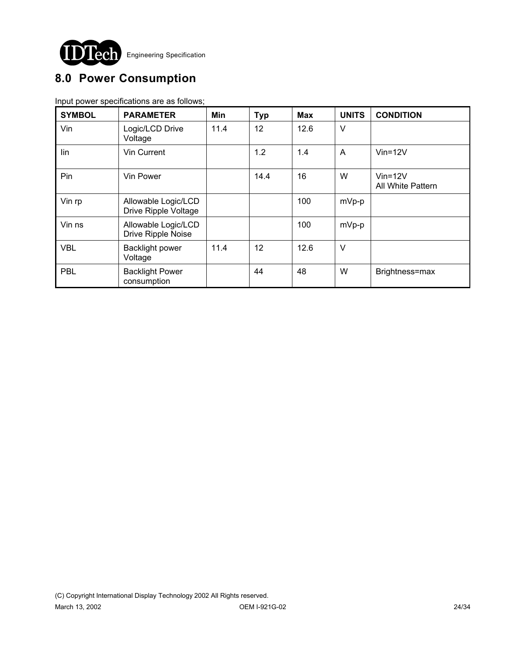

# **8.0 Power Consumption**

Input power specifications are as follows;

| <b>SYMBOL</b> | <b>PARAMETER</b>                            | Min  | <b>Typ</b> | <b>Max</b> | <b>UNITS</b> | <b>CONDITION</b>                   |
|---------------|---------------------------------------------|------|------------|------------|--------------|------------------------------------|
| Vin           | Logic/LCD Drive<br>Voltage                  | 11.4 | 12         | 12.6       | $\vee$       |                                    |
| lin           | Vin Current                                 |      | 1.2        | 1.4        | A            | $V$ in=12 $V$                      |
| Pin           | Vin Power                                   |      | 14.4       | 16         | W            | $V$ in=12 $V$<br>All White Pattern |
| Vin rp        | Allowable Logic/LCD<br>Drive Ripple Voltage |      |            | 100        | mVp-p        |                                    |
| Vin ns        | Allowable Logic/LCD<br>Drive Ripple Noise   |      |            | 100        | mVp-p        |                                    |
| <b>VBL</b>    | <b>Backlight power</b><br>Voltage           | 11.4 | 12         | 12.6       | $\vee$       |                                    |
| PBL           | <b>Backlight Power</b><br>consumption       |      | 44         | 48         | W            | Brightness=max                     |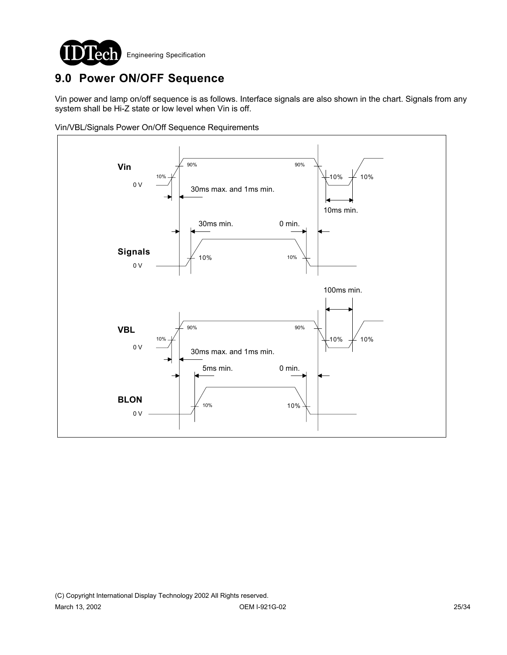

# **9.0 Power ON/OFF Sequence**

Vin power and lamp on/off sequence is as follows. Interface signals are also shown in the chart. Signals from any system shall be Hi-Z state or low level when Vin is off.

Vin/VBL/Signals Power On/Off Sequence Requirements

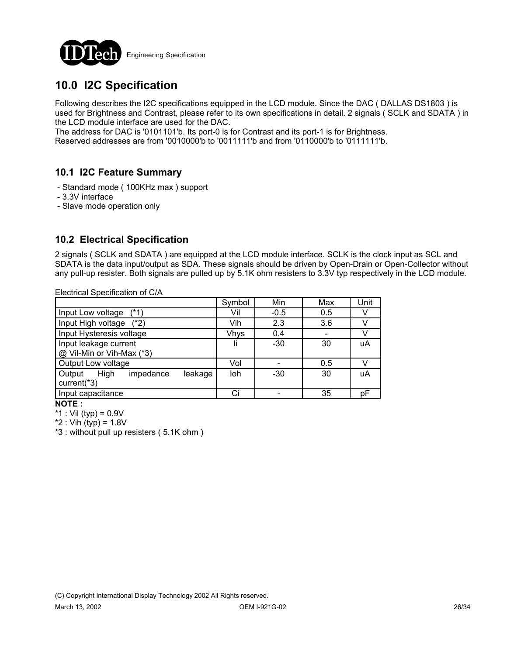

# **10.0 I2C Specification**

Following describes the I2C specifications equipped in the LCD module. Since the DAC ( DALLAS DS1803 ) is used for Brightness and Contrast, please refer to its own specifications in detail. 2 signals ( SCLK and SDATA ) in the LCD module interface are used for the DAC.

The address for DAC is '0101101'b. Its port-0 is for Contrast and its port-1 is for Brightness.

Reserved addresses are from '0010000'b to '0011111'b and from '0110000'b to '0111111'b.

## **10.1 I2C Feature Summary**

- Standard mode ( 100KHz max ) support
- 3.3V interface
- Slave mode operation only

## **10.2 Electrical Specification**

2 signals ( SCLK and SDATA ) are equipped at the LCD module interface. SCLK is the clock input as SCL and SDATA is the data input/output as SDA. These signals should be driven by Open-Drain or Open-Collector without any pull-up resister. Both signals are pulled up by 5.1K ohm resisters to 3.3V typ respectively in the LCD module.

Electrical Specification of C/A

|                                        | Symbol      | Min    | Max | Unit |
|----------------------------------------|-------------|--------|-----|------|
| Input Low voltage<br>$(*1)$            | Vil         | $-0.5$ | 0.5 |      |
| Input High voltage<br>$(*2)$           | Vih         | 2.3    | 3.6 |      |
| Input Hysteresis voltage               | <b>Vhys</b> | 0.4    |     |      |
| Input leakage current                  |             | $-30$  | 30  | uA   |
| @ Vil-Min or Vih-Max (*3)              |             |        |     |      |
| Output Low voltage                     | Vol         |        | 0.5 |      |
| High<br>Output<br>impedance<br>leakage | loh         | $-30$  | 30  | uA   |
| current(*3)                            |             |        |     |      |
| Input capacitance                      |             |        | 35  | рF   |

**NOTE :** 

\*1 : Vil (typ) =  $0.9V$ 

 $*2$  : Vih  $(typ) = 1.8V$ 

\*3 : without pull up resisters ( 5.1K ohm )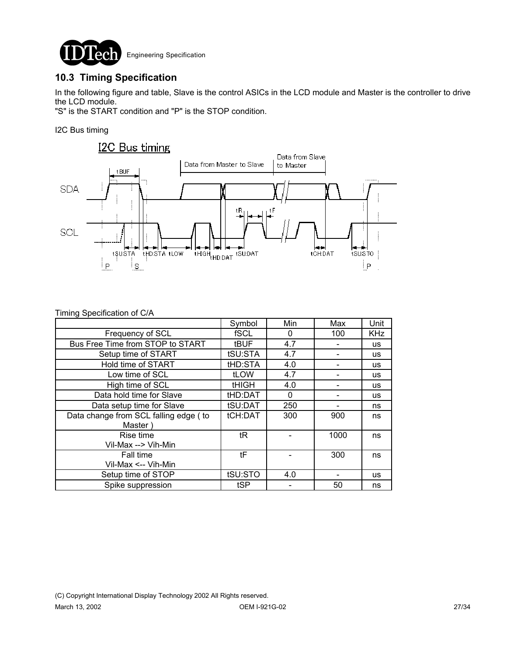

## **10.3 Timing Specification**

In the following figure and table, Slave is the control ASICs in the LCD module and Master is the controller to drive the LCD module.

"S" is the START condition and "P" is the STOP condition.

I2C Bus timing



| Timing Specification of C/A |  |  |  |
|-----------------------------|--|--|--|
|-----------------------------|--|--|--|

|                                                  | Symbol       | Min | Max  | Unit       |
|--------------------------------------------------|--------------|-----|------|------------|
| Frequency of SCL                                 | fSCL         | 0   | 100  | <b>KHz</b> |
| Bus Free Time from STOP to START                 | tBUF         | 4.7 |      | <b>us</b>  |
| Setup time of START                              | tSU:STA      | 4.7 |      | <b>us</b>  |
| Hold time of START                               | tHD:STA      | 4.0 |      | <b>us</b>  |
| Low time of SCL                                  | tLOW         | 4.7 |      | <b>us</b>  |
| High time of SCL                                 | <b>tHIGH</b> | 4.0 |      | <b>us</b>  |
| Data hold time for Slave                         | tHD:DAT      | 0   |      | <b>us</b>  |
| Data setup time for Slave                        | tSU:DAT      | 250 |      | ns         |
| Data change from SCL falling edge (to<br>Master) | tCH:DAT      | 300 | 900  | ns         |
| Rise time<br>Vil-Max --> Vih-Min                 | tR           |     | 1000 | ns         |
| Fall time<br>Vil-Max <-- Vih-Min                 | tF           |     | 300  | ns         |
| Setup time of STOP                               | tSU:STO      | 4.0 |      | <b>us</b>  |
| Spike suppression                                | tSP          |     | 50   | ns         |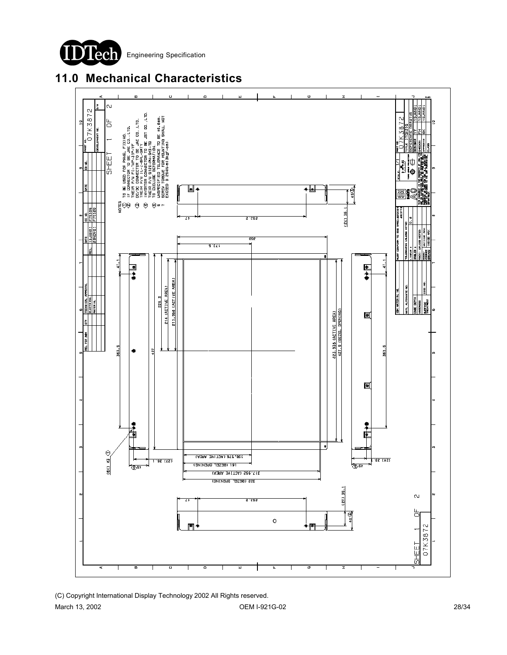





(C) Copyright International Display Technology 2002 All Rights reserved. March 13, 2002 28/34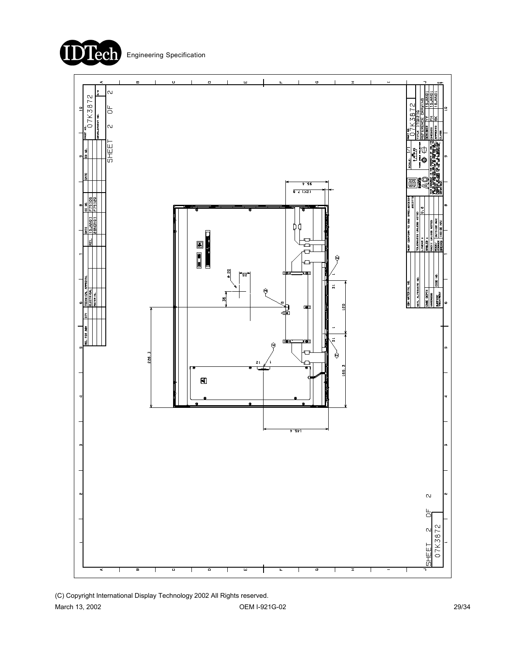



(C) Copyright International Display Technology 2002 All Rights reserved.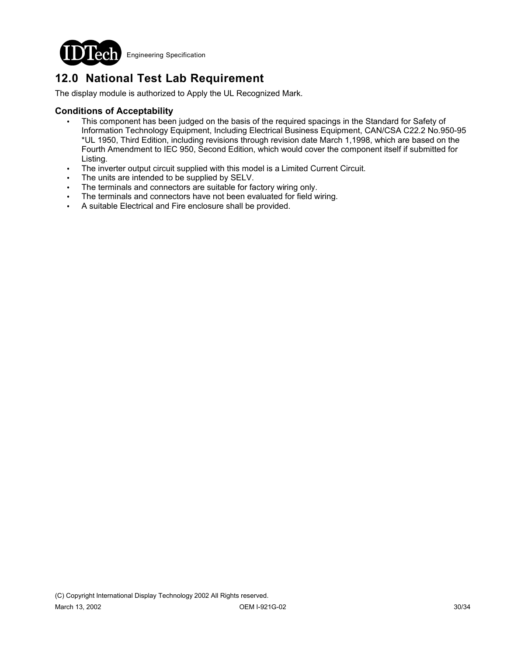

# **12.0 National Test Lab Requirement**

The display module is authorized to Apply the UL Recognized Mark.

### **Conditions of Acceptability**

- This component has been judged on the basis of the required spacings in the Standard for Safety of Information Technology Equipment, Including Electrical Business Equipment, CAN/CSA C22.2 No.950-95 \*UL 1950, Third Edition, including revisions through revision date March 1,1998, which are based on the Fourth Amendment to IEC 950, Second Edition, which would cover the component itself if submitted for Listing.
- The inverter output circuit supplied with this model is a Limited Current Circuit.
- The units are intended to be supplied by SELV.
- The terminals and connectors are suitable for factory wiring only.
- The terminals and connectors have not been evaluated for field wiring.
- ! A suitable Electrical and Fire enclosure shall be provided.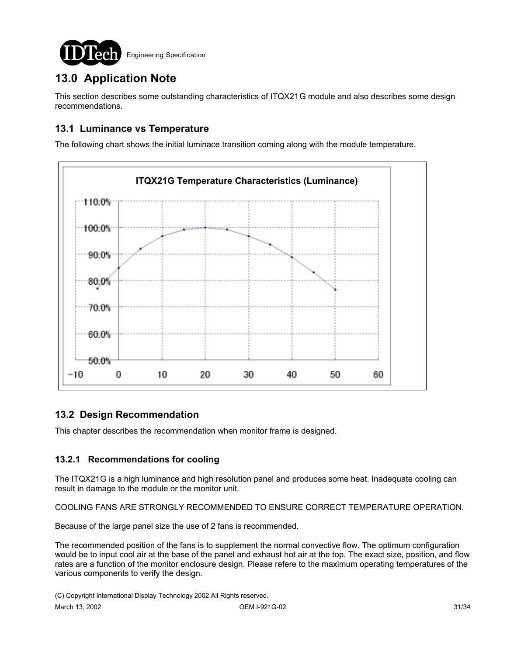

# **13.0 Application Note**

This section describes some outstanding characteristics of ITQX21G module and also describes some design recommendations.

## **13.1 Luminance vs Temperature**

The following chart shows the initial luminace transition coming along with the module temperature.



## **13.2 Design Recommendation**

This chapter describes the recommendation when monitor frame is designed.

### **13.2.1 Recommendations for cooling**

The ITQX21G is a high luminance and high resolution panel and produces some heat. Inadequate cooling can result in damage to the module or the monitor unit.

COOLING FANS ARE STRONGLY RECOMMENDED TO ENSURE CORRECT TEMPERATURE OPERATION.

Because of the large panel size the use of 2 fans is recommended.

The recommended position of the fans is to supplement the normal convective flow. The optimum configuration would be to input cool air at the base of the panel and exhaust hot air at the top. The exact size, position, and flow rates are a function of the monitor enclosure design. Please refere to the maximum operating temperatures of the various components to verify the design.

(C) Copyright International Display Technology 2002 All Rights reserved.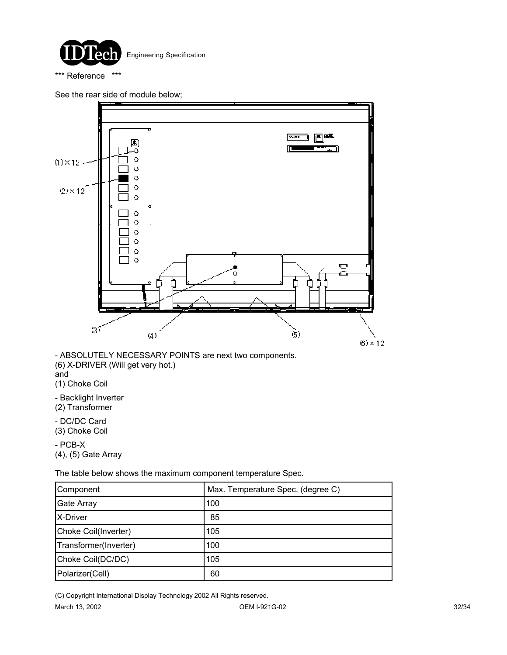

\*\*\* Reference \*\*\*

See the rear side of module below;



- ABSOLUTELY NECESSARY POINTS are next two components. (6) X-DRIVER (Will get very hot.) and

(1) Choke Coil

- Backlight Inverter (2) Transformer

- DC/DC Card (3) Choke Coil

- PCB-X (4), (5) Gate Array

The table below shows the maximum component temperature Spec.

| Component             | Max. Temperature Spec. (degree C) |
|-----------------------|-----------------------------------|
| <b>Gate Array</b>     | 100                               |
| X-Driver              | 85                                |
| Choke Coil(Inverter)  | 105                               |
| Transformer(Inverter) | 100                               |
| Choke Coil(DC/DC)     | 105                               |
| Polarizer(Cell)       | 60                                |

(C) Copyright International Display Technology 2002 All Rights reserved.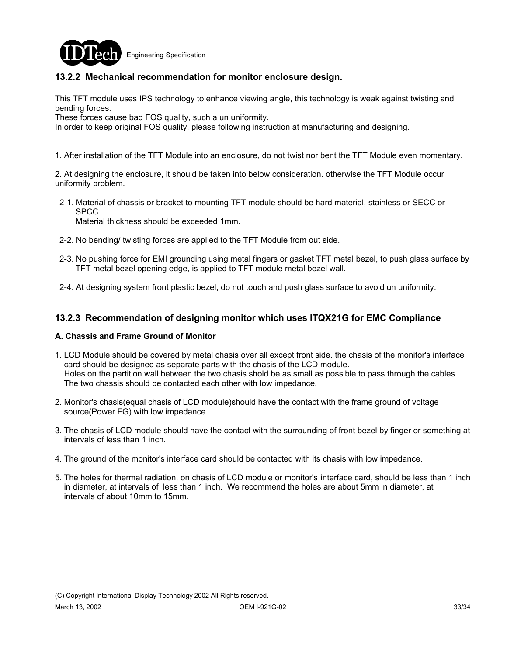

### **13.2.2 Mechanical recommendation for monitor enclosure design.**

This TFT module uses IPS technology to enhance viewing angle, this technology is weak against twisting and bending forces.

These forces cause bad FOS quality, such a un uniformity.

In order to keep original FOS quality, please following instruction at manufacturing and designing.

1. After installation of the TFT Module into an enclosure, do not twist nor bent the TFT Module even momentary.

2. At designing the enclosure, it should be taken into below consideration. otherwise the TFT Module occur uniformity problem.

 2-1. Material of chassis or bracket to mounting TFT module should be hard material, stainless or SECC or SPCC.

Material thickness should be exceeded 1mm.

- 2-2. No bending/ twisting forces are applied to the TFT Module from out side.
- 2-3. No pushing force for EMI grounding using metal fingers or gasket TFT metal bezel, to push glass surface by TFT metal bezel opening edge, is applied to TFT module metal bezel wall.
- 2-4. At designing system front plastic bezel, do not touch and push glass surface to avoid un uniformity.

### **13.2.3 Recommendation of designing monitor which uses ITQX21G for EMC Compliance**

#### **A. Chassis and Frame Ground of Monitor**

- 1. LCD Module should be covered by metal chasis over all except front side. the chasis of the monitor's interface card should be designed as separate parts with the chasis of the LCD module. Holes on the partition wall between the two chasis shold be as small as possible to pass through the cables. The two chassis should be contacted each other with low impedance.
- 2. Monitor's chasis(equal chasis of LCD module)should have the contact with the frame ground of voltage source(Power FG) with low impedance.
- 3. The chasis of LCD module should have the contact with the surrounding of front bezel by finger or something at intervals of less than 1 inch.
- 4. The ground of the monitor's interface card should be contacted with its chasis with low impedance.
- 5. The holes for thermal radiation, on chasis of LCD module or monitor's interface card, should be less than 1 inch in diameter, at intervals of less than 1 inch. We recommend the holes are about 5mm in diameter, at intervals of about 10mm to 15mm.